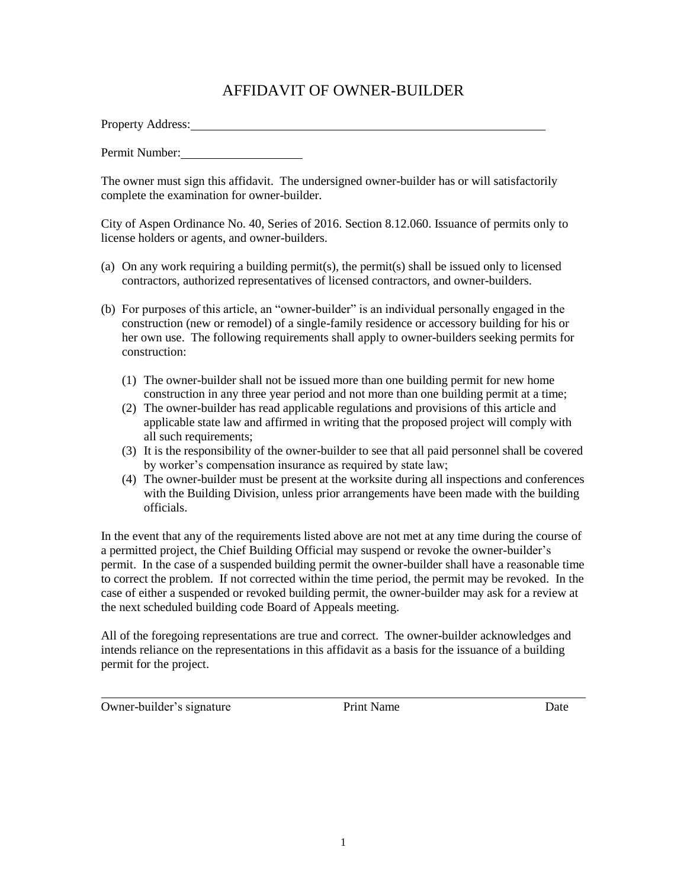## AFFIDAVIT OF OWNER-BUILDER

Property Address:

Permit Number:

The owner must sign this affidavit. The undersigned owner-builder has or will satisfactorily complete the examination for owner-builder.

City of Aspen Ordinance No. 40, Series of 2016. Section 8.12.060. Issuance of permits only to license holders or agents, and owner-builders.

- (a) On any work requiring a building permit(s), the permit(s) shall be issued only to licensed contractors, authorized representatives of licensed contractors, and owner-builders.
- (b) For purposes of this article, an "owner-builder" is an individual personally engaged in the construction (new or remodel) of a single-family residence or accessory building for his or her own use. The following requirements shall apply to owner-builders seeking permits for construction:
	- (1) The owner-builder shall not be issued more than one building permit for new home construction in any three year period and not more than one building permit at a time;
	- (2) The owner-builder has read applicable regulations and provisions of this article and applicable state law and affirmed in writing that the proposed project will comply with all such requirements;
	- (3) It is the responsibility of the owner-builder to see that all paid personnel shall be covered by worker's compensation insurance as required by state law;
	- (4) The owner-builder must be present at the worksite during all inspections and conferences with the Building Division, unless prior arrangements have been made with the building officials.

In the event that any of the requirements listed above are not met at any time during the course of a permitted project, the Chief Building Official may suspend or revoke the owner-builder's permit. In the case of a suspended building permit the owner-builder shall have a reasonable time to correct the problem. If not corrected within the time period, the permit may be revoked. In the case of either a suspended or revoked building permit, the owner-builder may ask for a review at the next scheduled building code Board of Appeals meeting.

All of the foregoing representations are true and correct. The owner-builder acknowledges and intends reliance on the representations in this affidavit as a basis for the issuance of a building permit for the project.

Owner-builder's signature Print Name Date